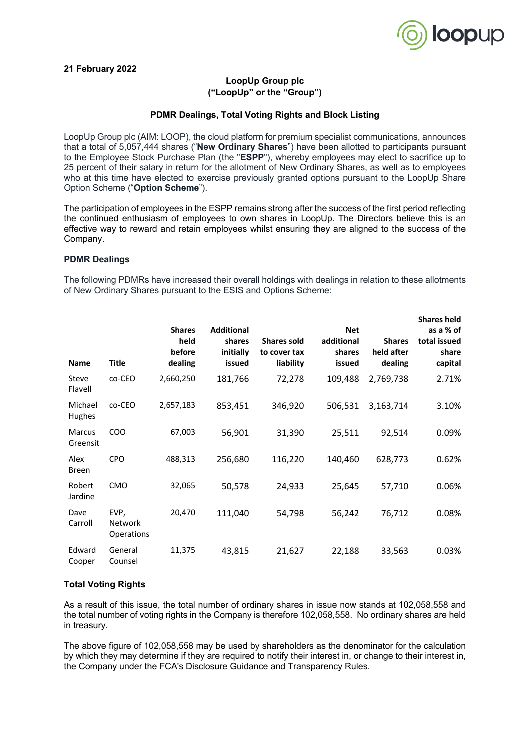

# **21 February 2022**

# **LoopUp Group plc ("LoopUp" or the "Group")**

#### **PDMR Dealings, Total Voting Rights and Block Listing**

LoopUp Group plc (AIM: LOOP), the cloud platform for premium specialist communications, announces that a total of 5,057,444 shares ("**New Ordinary Shares**") have been allotted to participants pursuant to the Employee Stock Purchase Plan (the "**ESPP**"), whereby employees may elect to sacrifice up to 25 percent of their salary in return for the allotment of New Ordinary Shares, as well as to employees who at this time have elected to exercise previously granted options pursuant to the LoopUp Share Option Scheme ("**Option Scheme**").

The participation of employees in the ESPP remains strong after the success of the first period reflecting the continued enthusiasm of employees to own shares in LoopUp. The Directors believe this is an effective way to reward and retain employees whilst ensuring they are aligned to the success of the Company.

#### **PDMR Dealings**

The following PDMRs have increased their overall holdings with dealings in relation to these allotments of New Ordinary Shares pursuant to the ESIS and Options Scheme:

| <b>Name</b>               | Title                         | <b>Shares</b><br>held<br>before<br>dealing | <b>Additional</b><br>shares<br>initially<br>issued | <b>Shares sold</b><br>to cover tax<br>liability | <b>Net</b><br>additional<br>shares<br>issued | <b>Shares</b><br>held after<br>dealing | <b>Shares held</b><br>as a % of<br>total issued<br>share<br>capital |
|---------------------------|-------------------------------|--------------------------------------------|----------------------------------------------------|-------------------------------------------------|----------------------------------------------|----------------------------------------|---------------------------------------------------------------------|
| Steve<br>Flavell          | co-CEO                        | 2,660,250                                  | 181,766                                            | 72,278                                          | 109,488                                      | 2,769,738                              | 2.71%                                                               |
| Michael<br>Hughes         | co-CEO                        | 2,657,183                                  | 853,451                                            | 346,920                                         | 506,531                                      | 3,163,714                              | 3.10%                                                               |
| <b>Marcus</b><br>Greensit | CO <sub>O</sub>               | 67,003                                     | 56,901                                             | 31,390                                          | 25,511                                       | 92,514                                 | 0.09%                                                               |
| Alex<br><b>Breen</b>      | <b>CPO</b>                    | 488,313                                    | 256,680                                            | 116,220                                         | 140,460                                      | 628,773                                | 0.62%                                                               |
| Robert<br>Jardine         | <b>CMO</b>                    | 32,065                                     | 50,578                                             | 24,933                                          | 25,645                                       | 57,710                                 | 0.06%                                                               |
| Dave<br>Carroll           | EVP,<br>Network<br>Operations | 20,470                                     | 111,040                                            | 54,798                                          | 56,242                                       | 76,712                                 | 0.08%                                                               |
| Edward<br>Cooper          | General<br>Counsel            | 11,375                                     | 43,815                                             | 21,627                                          | 22,188                                       | 33,563                                 | 0.03%                                                               |

### **Total Voting Rights**

As a result of this issue, the total number of ordinary shares in issue now stands at 102,058,558 and the total number of voting rights in the Company is therefore 102,058,558. No ordinary shares are held in treasury.

The above figure of 102,058,558 may be used by shareholders as the denominator for the calculation by which they may determine if they are required to notify their interest in, or change to their interest in, the Company under the FCA's Disclosure Guidance and Transparency Rules.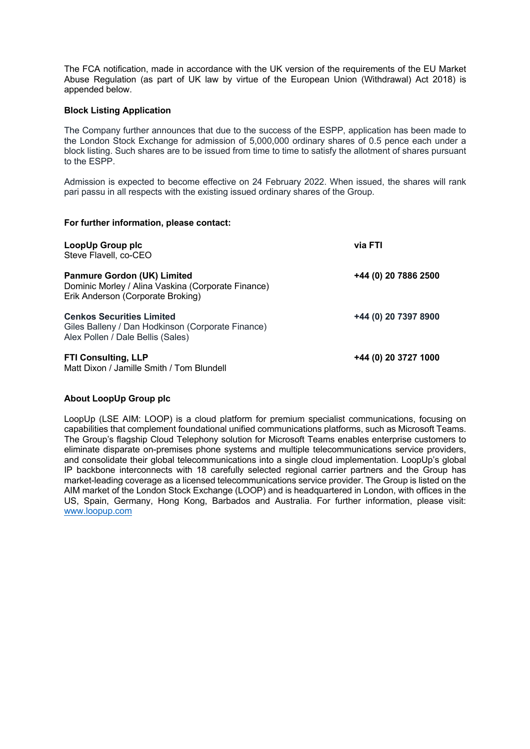The FCA notification, made in accordance with the UK version of the requirements of the EU Market Abuse Regulation (as part of UK law by virtue of the European Union (Withdrawal) Act 2018) is appended below.

# **Block Listing Application**

The Company further announces that due to the success of the ESPP, application has been made to the London Stock Exchange for admission of 5,000,000 ordinary shares of 0.5 pence each under a block listing. Such shares are to be issued from time to time to satisfy the allotment of shares pursuant to the ESPP.

Admission is expected to become effective on 24 February 2022. When issued, the shares will rank pari passu in all respects with the existing issued ordinary shares of the Group.

#### **For further information, please contact:**

| LoopUp Group plc<br>Steve Flavell, co-CEO                                                                                     | via FTI              |
|-------------------------------------------------------------------------------------------------------------------------------|----------------------|
| <b>Panmure Gordon (UK) Limited</b><br>Dominic Morley / Alina Vaskina (Corporate Finance)<br>Erik Anderson (Corporate Broking) | +44 (0) 20 7886 2500 |
| <b>Cenkos Securities Limited</b><br>Giles Balleny / Dan Hodkinson (Corporate Finance)<br>Alex Pollen / Dale Bellis (Sales)    | +44 (0) 20 7397 8900 |
| <b>FTI Consulting, LLP</b><br>Matt Dixon / Jamille Smith / Tom Blundell                                                       | +44 (0) 20 3727 1000 |

# **About LoopUp Group plc**

LoopUp (LSE AIM: LOOP) is a cloud platform for premium specialist communications, focusing on capabilities that complement foundational unified communications platforms, such as Microsoft Teams. The Group's flagship Cloud Telephony solution for Microsoft Teams enables enterprise customers to eliminate disparate on-premises phone systems and multiple telecommunications service providers, and consolidate their global telecommunications into a single cloud implementation. LoopUp's global IP backbone interconnects with 18 carefully selected regional carrier partners and the Group has market-leading coverage as a licensed telecommunications service provider. The Group is listed on the AIM market of the London Stock Exchange (LOOP) and is headquartered in London, with offices in the US, Spain, Germany, Hong Kong, Barbados and Australia. For further information, please visit: www.loopup.com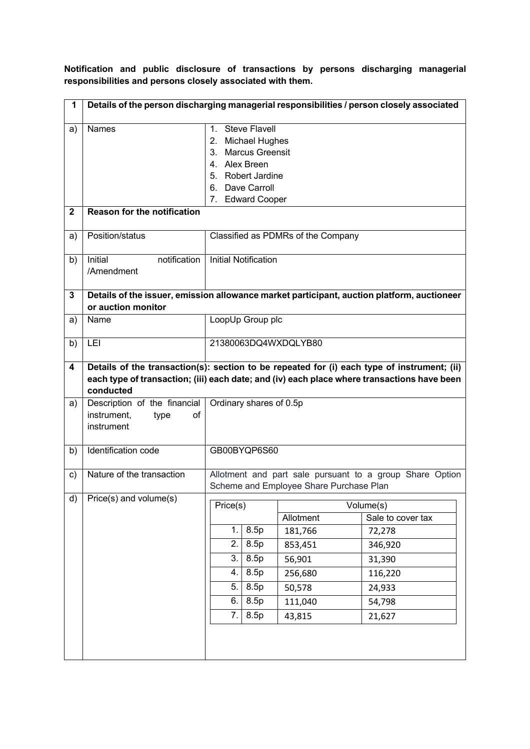**Notification and public disclosure of transactions by persons discharging managerial responsibilities and persons closely associated with them.**

| 1            | Details of the person discharging managerial responsibilities / person closely associated                                                                                                               |                                                                                                                                                                   |                                                                                     |                                                                                                        |  |  |
|--------------|---------------------------------------------------------------------------------------------------------------------------------------------------------------------------------------------------------|-------------------------------------------------------------------------------------------------------------------------------------------------------------------|-------------------------------------------------------------------------------------|--------------------------------------------------------------------------------------------------------|--|--|
| a)           | <b>Names</b>                                                                                                                                                                                            | <b>Steve Flavell</b><br>$1_{-}$<br><b>Michael Hughes</b><br>2.<br>3. Marcus Greensit<br>4. Alex Breen<br>5. Robert Jardine<br>6. Dave Carroll<br>7. Edward Cooper |                                                                                     |                                                                                                        |  |  |
| $\mathbf{2}$ | <b>Reason for the notification</b>                                                                                                                                                                      |                                                                                                                                                                   |                                                                                     |                                                                                                        |  |  |
| a)           | Position/status                                                                                                                                                                                         | Classified as PDMRs of the Company                                                                                                                                |                                                                                     |                                                                                                        |  |  |
| b)           | notification<br><b>Initial Notification</b><br>Initial<br>/Amendment                                                                                                                                    |                                                                                                                                                                   |                                                                                     |                                                                                                        |  |  |
| 3            | Details of the issuer, emission allowance market participant, auction platform, auctioneer<br>or auction monitor                                                                                        |                                                                                                                                                                   |                                                                                     |                                                                                                        |  |  |
| a)           | Name                                                                                                                                                                                                    | LoopUp Group plc                                                                                                                                                  |                                                                                     |                                                                                                        |  |  |
| b)           | LEI                                                                                                                                                                                                     | 21380063DQ4WXDQLYB80                                                                                                                                              |                                                                                     |                                                                                                        |  |  |
| 4            | Details of the transaction(s): section to be repeated for (i) each type of instrument; (ii)<br>each type of transaction; (iii) each date; and (iv) each place where transactions have been<br>conducted |                                                                                                                                                                   |                                                                                     |                                                                                                        |  |  |
| a)           | Description of the financial<br>instrument,<br>οf<br>type<br>instrument                                                                                                                                 | Ordinary shares of 0.5p                                                                                                                                           |                                                                                     |                                                                                                        |  |  |
| b)           | Identification code                                                                                                                                                                                     | GB00BYQP6S60                                                                                                                                                      |                                                                                     |                                                                                                        |  |  |
| c)           | Nature of the transaction                                                                                                                                                                               |                                                                                                                                                                   | Scheme and Employee Share Purchase Plan                                             | Allotment and part sale pursuant to a group Share Option                                               |  |  |
| d)           | Price(s) and volume(s)                                                                                                                                                                                  | Price(s)<br>8.5p<br>1.<br>2.<br>8.5p<br>3.<br>8.5p<br>8.5p<br>4.<br>8.5p<br>5.<br>8.5p<br>6.<br>8.5p<br>7.                                                        | Allotment<br>181,766<br>853,451<br>56,901<br>256,680<br>50,578<br>111,040<br>43,815 | Volume(s)<br>Sale to cover tax<br>72,278<br>346,920<br>31,390<br>116,220<br>24,933<br>54,798<br>21,627 |  |  |
|              |                                                                                                                                                                                                         |                                                                                                                                                                   |                                                                                     |                                                                                                        |  |  |